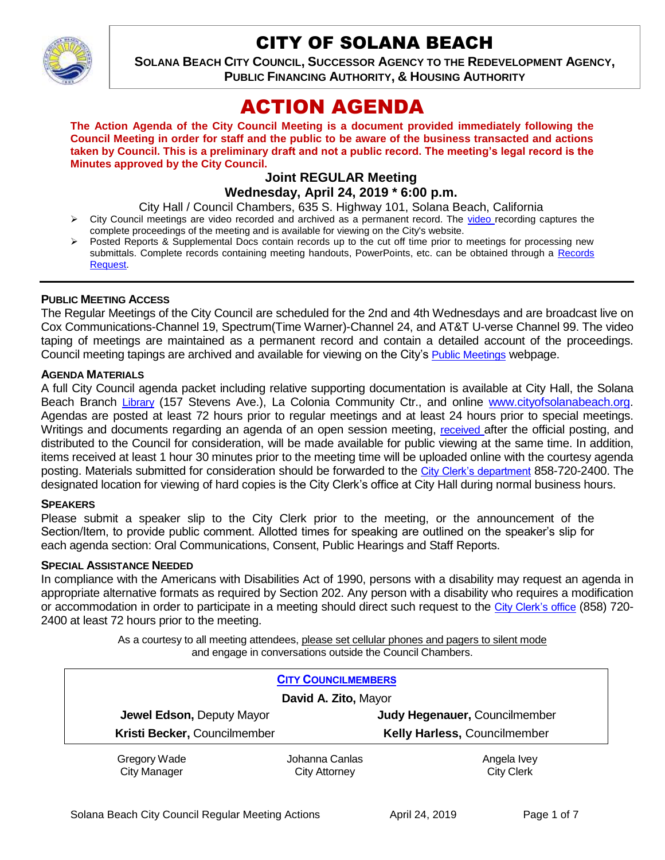

# CITY OF SOLANA BEACH

**SOLANA BEACH CITY COUNCIL, SUCCESSOR AGENCY TO THE REDEVELOPMENT AGENCY, PUBLIC FINANCING AUTHORITY, & HOUSING AUTHORITY** 

# ACTION AGENDA

**The Action Agenda of the City Council Meeting is a document provided immediately following the Council Meeting in order for staff and the public to be aware of the business transacted and actions taken by Council. This is a preliminary draft and not a public record. The meeting's legal record is the Minutes approved by the City Council.**

#### **Joint REGULAR Meeting Wednesday, April 24, 2019 \* 6:00 p.m.**

- City Hall / Council Chambers, 635 S. Highway 101, Solana Beach, California City Council meetings are video recorded and archived as a permanent record. The [video r](https://solanabeach.12milesout.com/#page=1)ecording captures the complete proceedings of the meeting and is available for viewing on the City's website.
- Posted Reports & Supplemental Docs contain records up to the cut off time prior to meetings for processing new submittals. Complete records containing meeting handouts, PowerPoints, etc. can be obtained through a [Records](http://www.ci.solana-beach.ca.us/index.asp?SEC=F5D45D10-70CE-4291-A27C-7BD633FC6742&Type=B_BASIC)  [Request.](http://www.ci.solana-beach.ca.us/index.asp?SEC=F5D45D10-70CE-4291-A27C-7BD633FC6742&Type=B_BASIC)

#### **PUBLIC MEETING ACCESS**

The Regular Meetings of the City Council are scheduled for the 2nd and 4th Wednesdays and are broadcast live on Cox Communications-Channel 19, Spectrum(Time Warner)-Channel 24, and AT&T U-verse Channel 99. The video taping of meetings are maintained as a permanent record and contain a detailed account of the proceedings. Council meeting tapings are archived and available for viewing on the City's [Public Meetings](https://www.ci.solana-beach.ca.us/index.asp?SEC=F0F1200D-21C6-4A88-8AE1-0BC07C1A81A7&Type=B_BASIC) webpage.

#### **AGENDA MATERIALS**

A full City Council agenda packet including relative supporting documentation is available at City Hall, the Solana Beach Branch [Library](http://www.sdcl.org/locations_SB.html) (157 Stevens Ave.), La Colonia Community Ctr., and online [www.cityofsolanabeach.org.](http://www.cityofsolanabeach.org/) Agendas are posted at least 72 hours prior to regular meetings and at least 24 hours prior to special meetings. Writings and documents regarding an agenda of an open session meeting, [received](mailto:EMAILGRP-CityClerksOfc@cosb.org) after the official posting, and distributed to the Council for consideration, will be made available for public viewing at the same time. In addition, items received at least 1 hour 30 minutes prior to the meeting time will be uploaded online with the courtesy agenda posting. Materials submitted for consideration should be forwarded to the [City Clerk's department](mailto:EMAILGRP-CityClerksOfc@cosb.org) 858-720-2400. The designated location for viewing of hard copies is the City Clerk's office at City Hall during normal business hours.

#### **SPEAKERS**

Please submit a speaker slip to the City Clerk prior to the meeting, or the announcement of the Section/Item, to provide public comment. Allotted times for speaking are outlined on the speaker's slip for each agenda section: Oral Communications, Consent, Public Hearings and Staff Reports.

#### **SPECIAL ASSISTANCE NEEDED**

In compliance with the Americans with Disabilities Act of 1990, persons with a disability may request an agenda in appropriate alternative formats as required by Section 202. Any person with a disability who requires a modification or accommodation in order to participate in a meeting should direct such request to the [City Clerk's office](mailto:clerkadmin@cosb.org?subject=City%20Clerk%20Notice%20of%20Special%20Services%20Needed) (858) 720- 2400 at least 72 hours prior to the meeting.

> As a courtesy to all meeting attendees, please set cellular phones and pagers to silent mode and engage in conversations outside the Council Chambers.

| <b>CITY COUNCILMEMBERS</b>          |                                        |                                  |
|-------------------------------------|----------------------------------------|----------------------------------|
| David A. Zito, Mayor                |                                        |                                  |
| <b>Jewel Edson, Deputy Mayor</b>    |                                        | Judy Hegenauer, Councilmember    |
| Kristi Becker, Councilmember        |                                        | Kelly Harless, Councilmember     |
| Gregory Wade<br><b>City Manager</b> | Johanna Canlas<br><b>City Attorney</b> | Angela Ivey<br><b>City Clerk</b> |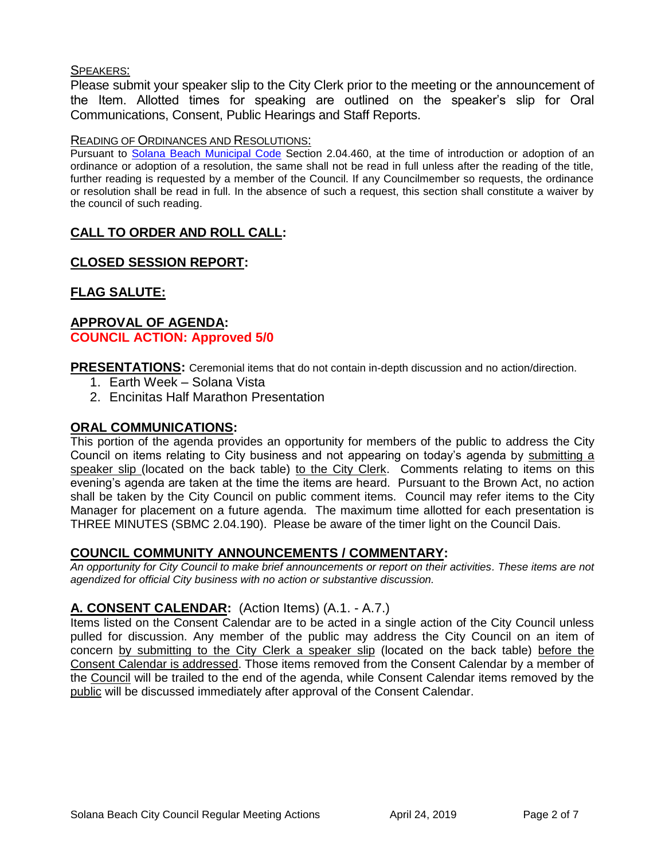### SPEAKERS:

Please submit your speaker slip to the City Clerk prior to the meeting or the announcement of the Item. Allotted times for speaking are outlined on the speaker's slip for Oral Communications, Consent, Public Hearings and Staff Reports.

## READING OF ORDINANCES AND RESOLUTIONS:

Pursuant to [Solana Beach Municipal Code](mailto:https://www.codepublishing.com/CA/SolanaBeach/) Section 2.04.460, at the time of introduction or adoption of an ordinance or adoption of a resolution, the same shall not be read in full unless after the reading of the title, further reading is requested by a member of the Council. If any Councilmember so requests, the ordinance or resolution shall be read in full. In the absence of such a request, this section shall constitute a waiver by the council of such reading.

# **CALL TO ORDER AND ROLL CALL:**

# **CLOSED SESSION REPORT:**

# **FLAG SALUTE:**

## **APPROVAL OF AGENDA: COUNCIL ACTION: Approved 5/0**

**PRESENTATIONS:** Ceremonial items that do not contain in-depth discussion and no action/direction.

- 1. Earth Week Solana Vista
- 2. Encinitas Half Marathon Presentation

## **ORAL COMMUNICATIONS:**

This portion of the agenda provides an opportunity for members of the public to address the City Council on items relating to City business and not appearing on today's agenda by submitting a speaker slip (located on the back table) to the City Clerk. Comments relating to items on this evening's agenda are taken at the time the items are heard. Pursuant to the Brown Act, no action shall be taken by the City Council on public comment items. Council may refer items to the City Manager for placement on a future agenda. The maximum time allotted for each presentation is THREE MINUTES (SBMC 2.04.190). Please be aware of the timer light on the Council Dais.

## **COUNCIL COMMUNITY ANNOUNCEMENTS / COMMENTARY:**

*An opportunity for City Council to make brief announcements or report on their activities. These items are not agendized for official City business with no action or substantive discussion.* 

## **A. CONSENT CALENDAR:** (Action Items) (A.1. - A.7.)

Items listed on the Consent Calendar are to be acted in a single action of the City Council unless pulled for discussion. Any member of the public may address the City Council on an item of concern by submitting to the City Clerk a speaker slip (located on the back table) before the Consent Calendar is addressed. Those items removed from the Consent Calendar by a member of the Council will be trailed to the end of the agenda, while Consent Calendar items removed by the public will be discussed immediately after approval of the Consent Calendar.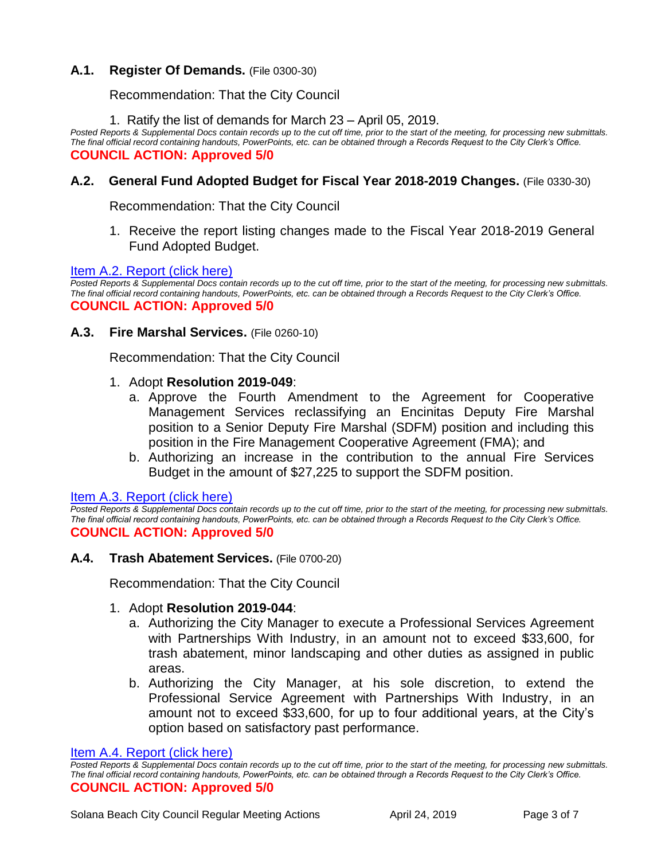## **A.1. Register Of Demands.** (File 0300-30)

Recommendation: That the City Council

1. Ratify the list of demands for March 23 – April 05, 2019.

*Posted Reports & Supplemental Docs contain records up to the cut off time, prior to the start of the meeting, for processing new submittals. The final official record containing handouts, PowerPoints, etc. can be obtained through a Records Request to the City Clerk's Office.* **COUNCIL ACTION: Approved 5/0**

## **A.2. General Fund Adopted Budget for Fiscal Year 2018-2019 Changes.** (File 0330-30)

Recommendation: That the City Council

1. Receive the report listing changes made to the Fiscal Year 2018-2019 General Fund Adopted Budget.

#### [Item A.2. Report \(click here\)](https://solanabeach.govoffice3.com/vertical/Sites/%7B840804C2-F869-4904-9AE3-720581350CE7%7D/uploads/Item_A.2._Report_(click_here)_04-24-19_-_O.pdf)

*Posted Reports & Supplemental Docs contain records up to the cut off time, prior to the start of the meeting, for processing new submittals. The final official record containing handouts, PowerPoints, etc. can be obtained through a Records Request to the City Clerk's Office.* **COUNCIL ACTION: Approved 5/0**

#### **A.3. Fire Marshal Services.** (File 0260-10)

Recommendation: That the City Council

- 1. Adopt **Resolution 2019-049**:
	- a. Approve the Fourth Amendment to the Agreement for Cooperative Management Services reclassifying an Encinitas Deputy Fire Marshal position to a Senior Deputy Fire Marshal (SDFM) position and including this position in the Fire Management Cooperative Agreement (FMA); and
	- b. Authorizing an increase in the contribution to the annual Fire Services Budget in the amount of \$27,225 to support the SDFM position.

[Item A.3. Report \(click here\)](https://solanabeach.govoffice3.com/vertical/Sites/%7B840804C2-F869-4904-9AE3-720581350CE7%7D/uploads/Item_A.3._Report_(click_here)_04-24-19_-_O.pdf)

*Posted Reports & Supplemental Docs contain records up to the cut off time, prior to the start of the meeting, for processing new submittals. The final official record containing handouts, PowerPoints, etc. can be obtained through a Records Request to the City Clerk's Office.* **COUNCIL ACTION: Approved 5/0**

#### **A.4. Trash Abatement Services.** (File 0700-20)

Recommendation: That the City Council

#### 1. Adopt **Resolution 2019-044**:

- a. Authorizing the City Manager to execute a Professional Services Agreement with Partnerships With Industry, in an amount not to exceed \$33,600, for trash abatement, minor landscaping and other duties as assigned in public areas.
- b. Authorizing the City Manager, at his sole discretion, to extend the Professional Service Agreement with Partnerships With Industry, in an amount not to exceed \$33,600, for up to four additional years, at the City's option based on satisfactory past performance.

[Item A.4. Report \(click here\)](https://solanabeach.govoffice3.com/vertical/Sites/%7B840804C2-F869-4904-9AE3-720581350CE7%7D/uploads/Item_A.4._Report_(click_here)_04-24-19_-_O.pdf)

*Posted Reports & Supplemental Docs contain records up to the cut off time, prior to the start of the meeting, for processing new submittals. The final official record containing handouts, PowerPoints, etc. can be obtained through a Records Request to the City Clerk's Office.* **COUNCIL ACTION: Approved 5/0**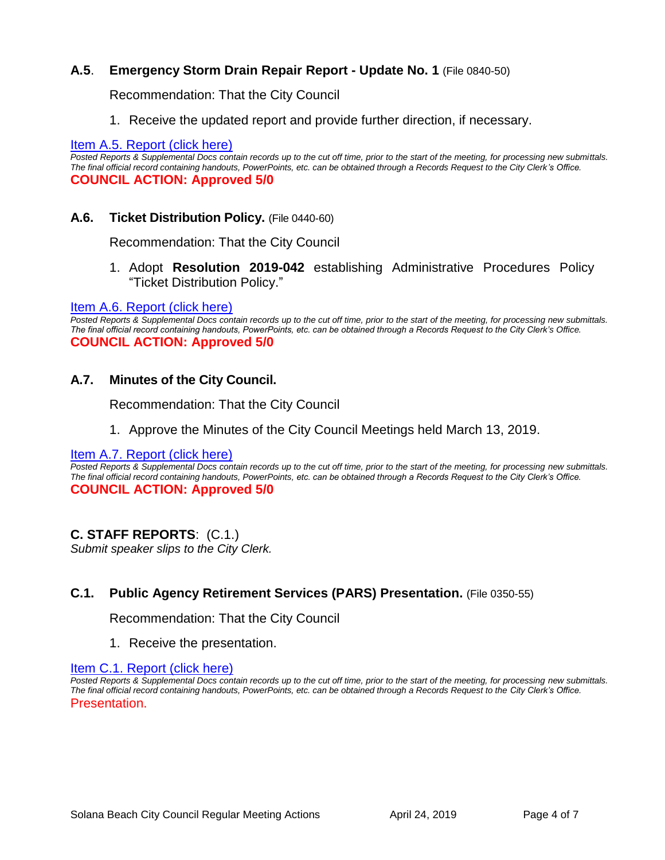## **A.5**. **Emergency Storm Drain Repair Report - Update No. 1** (File 0840-50)

Recommendation: That the City Council

1. Receive the updated report and provide further direction, if necessary.

#### [Item A.5. Report \(click here\)](https://solanabeach.govoffice3.com/vertical/Sites/%7B840804C2-F869-4904-9AE3-720581350CE7%7D/uploads/Item_A.5._Report_(clich_here)_04-24-19_-_O.pdf)

*Posted Reports & Supplemental Docs contain records up to the cut off time, prior to the start of the meeting, for processing new submittals. The final official record containing handouts, PowerPoints, etc. can be obtained through a Records Request to the City Clerk's Office.* **COUNCIL ACTION: Approved 5/0**

## **A.6. Ticket Distribution Policy.** (File 0440-60)

Recommendation: That the City Council

1. Adopt **Resolution 2019-042** establishing Administrative Procedures Policy "Ticket Distribution Policy."

#### [Item A.6. Report \(click here\)](https://solanabeach.govoffice3.com/vertical/Sites/%7B840804C2-F869-4904-9AE3-720581350CE7%7D/uploads/Item_A.6._Report_(click_here)_04-24-19_-_O.pdf)

Posted Reports & Supplemental Docs contain records up to the cut off time, prior to the start of the meeting, for processing new submittals. *The final official record containing handouts, PowerPoints, etc. can be obtained through a Records Request to the City Clerk's Office.* **COUNCIL ACTION: Approved 5/0**

## **A.7. Minutes of the City Council.**

Recommendation: That the City Council

1. Approve the Minutes of the City Council Meetings held March 13, 2019.

#### [Item A.7. Report \(click here\)](https://solanabeach.govoffice3.com/vertical/Sites/%7B840804C2-F869-4904-9AE3-720581350CE7%7D/uploads/Item_A.7._Report_(click_here)_04-24-19_-_O.pdf)

*Posted Reports & Supplemental Docs contain records up to the cut off time, prior to the start of the meeting, for processing new submittals. The final official record containing handouts, PowerPoints, etc. can be obtained through a Records Request to the City Clerk's Office.* **COUNCIL ACTION: Approved 5/0**

## **C. STAFF REPORTS**: (C.1.)

*Submit speaker slips to the City Clerk.*

## **C.1. Public Agency Retirement Services (PARS) Presentation.** (File 0350-55)

Recommendation: That the City Council

1. Receive the presentation.

#### [Item C.1. Report \(click here\)](https://solanabeach.govoffice3.com/vertical/Sites/%7B840804C2-F869-4904-9AE3-720581350CE7%7D/uploads/Item_C.1._Report_(click_here)_04-24-19_-_O.pdf)

*Posted Reports & Supplemental Docs contain records up to the cut off time, prior to the start of the meeting, for processing new submittals. The final official record containing handouts, PowerPoints, etc. can be obtained through a Records Request to the City Clerk's Office.* Presentation.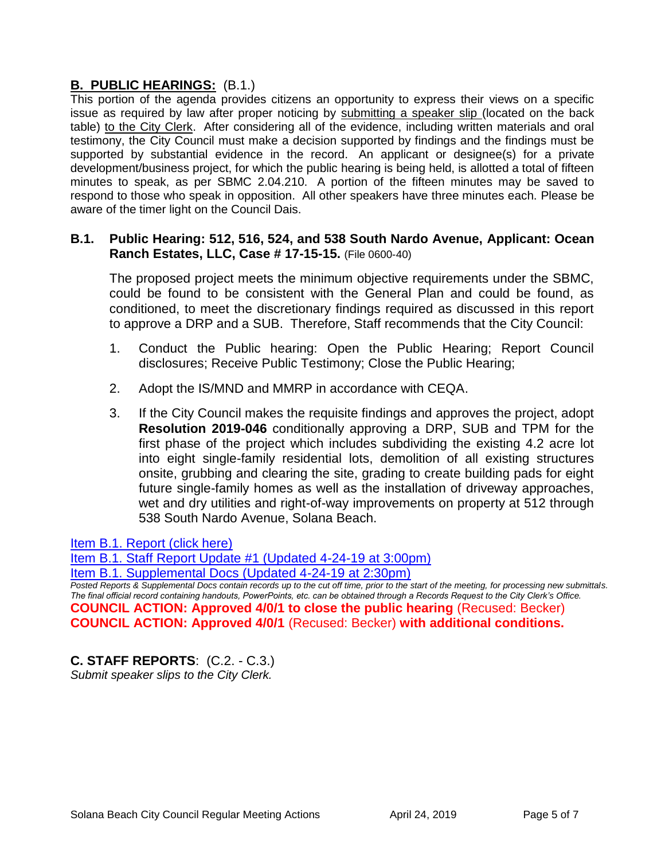# **B. PUBLIC HEARINGS:** (B.1.)

This portion of the agenda provides citizens an opportunity to express their views on a specific issue as required by law after proper noticing by submitting a speaker slip (located on the back table) to the City Clerk. After considering all of the evidence, including written materials and oral testimony, the City Council must make a decision supported by findings and the findings must be supported by substantial evidence in the record. An applicant or designee(s) for a private development/business project, for which the public hearing is being held, is allotted a total of fifteen minutes to speak, as per SBMC 2.04.210. A portion of the fifteen minutes may be saved to respond to those who speak in opposition. All other speakers have three minutes each. Please be aware of the timer light on the Council Dais.

## **B.1. Public Hearing: 512, 516, 524, and 538 South Nardo Avenue, Applicant: Ocean Ranch Estates, LLC, Case # 17-15-15.** (File 0600-40)

The proposed project meets the minimum objective requirements under the SBMC, could be found to be consistent with the General Plan and could be found, as conditioned, to meet the discretionary findings required as discussed in this report to approve a DRP and a SUB. Therefore, Staff recommends that the City Council:

- 1. Conduct the Public hearing: Open the Public Hearing; Report Council disclosures; Receive Public Testimony; Close the Public Hearing;
- 2. Adopt the IS/MND and MMRP in accordance with CEQA.
- 3. If the City Council makes the requisite findings and approves the project, adopt **Resolution 2019-046** conditionally approving a DRP, SUB and TPM for the first phase of the project which includes subdividing the existing 4.2 acre lot into eight single-family residential lots, demolition of all existing structures onsite, grubbing and clearing the site, grading to create building pads for eight future single-family homes as well as the installation of driveway approaches, wet and dry utilities and right-of-way improvements on property at 512 through 538 South Nardo Avenue, Solana Beach.

[Item B.1. Report \(click here\)](https://solanabeach.govoffice3.com/vertical/Sites/%7B840804C2-F869-4904-9AE3-720581350CE7%7D/uploads/Item_B.1._Report_(click_here)_04-24-19_-_OR.pdf)

[Item B.1. Staff Report Update #1 \(Updated 4-24-19](https://solanabeach.govoffice3.com/vertical/Sites/%7B840804C2-F869-4904-9AE3-720581350CE7%7D/uploads/Item_B.1._Staff_Report_Update_1_(updated_4-24_at_300pm)_-_O.pdf) at 3:00pm)

[Item B.1. Supplemental Docs \(Updated 4-24-19](https://solanabeach.govoffice3.com/vertical/Sites/%7B840804C2-F869-4904-9AE3-720581350CE7%7D/uploads/Item_B.1._Supplemental_Docs_(Updated_4-24_at_230m)_-_RO.pdf) at 2:30pm)

*Posted Reports & Supplemental Docs contain records up to the cut off time, prior to the start of the meeting, for processing new submittals. The final official record containing handouts, PowerPoints, etc. can be obtained through a Records Request to the City Clerk's Office.* **COUNCIL ACTION: Approved 4/0/1 to close the public hearing** (Recused: Becker) **COUNCIL ACTION: Approved 4/0/1** (Recused: Becker) **with additional conditions.**

# **C. STAFF REPORTS**: (C.2. - C.3.)

*Submit speaker slips to the City Clerk.*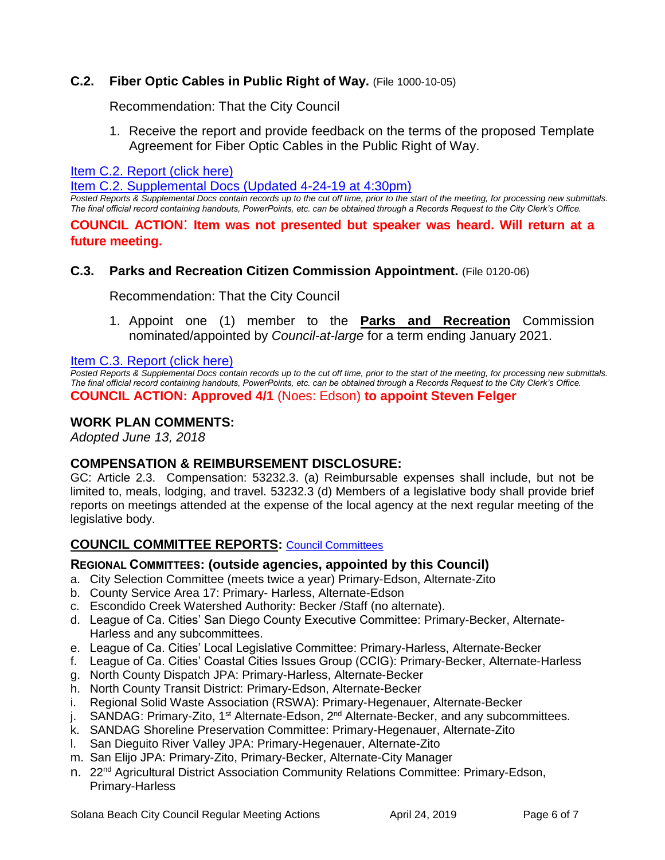## **C.2. Fiber Optic Cables in Public Right of Way.** (File 1000-10-05)

Recommendation: That the City Council

1. Receive the report and provide feedback on the terms of the proposed Template Agreement for Fiber Optic Cables in the Public Right of Way.

[Item C.2. Report \(click here\)](https://solanabeach.govoffice3.com/vertical/Sites/%7B840804C2-F869-4904-9AE3-720581350CE7%7D/uploads/Item_C.2._Report_(clcik_here)_04-24-19_-_O.pdf)

[Item C.2. Supplemental Docs \(Updated 4-24-19 at 4:30pm\)](https://solanabeach.govoffice3.com/vertical/Sites/%7B840804C2-F869-4904-9AE3-720581350CE7%7D/uploads/Item_C.2._Supplemental_Docs_(updated_4-24_at_430pm).pdf)

*Posted Reports & Supplemental Docs contain records up to the cut off time, prior to the start of the meeting, for processing new submittals. The final official record containing handouts, PowerPoints, etc. can be obtained through a Records Request to the City Clerk's Office.*

**COUNCIL ACTION**: **Item was not presented but speaker was heard. Will return at a future meeting.**

#### **C.3. Parks and Recreation Citizen Commission Appointment.** (File 0120-06)

Recommendation: That the City Council

1. Appoint one (1) member to the **Parks and Recreation** Commission nominated/appointed by *Council-at-large* for a term ending January 2021.

Item C.3. Report (click here)

**Posted Reports & Supplemental Docs contain records up to the cut off time, prior to the start of the meeting, for processing new submittals.** *The final official record containing handouts, PowerPoints, etc. can be obtained through a Records Request to the City Clerk's Office.* **COUNCIL ACTION: Approved 4/1** (Noes: Edson) **to appoint Steven Felger**

#### **WORK PLAN COMMENTS:**

*Adopted June 13, 2018*

#### **COMPENSATION & REIMBURSEMENT DISCLOSURE:**

GC: Article 2.3. Compensation: 53232.3. (a) Reimbursable expenses shall include, but not be limited to, meals, lodging, and travel. 53232.3 (d) Members of a legislative body shall provide brief reports on meetings attended at the expense of the local agency at the next regular meeting of the legislative body.

#### **COUNCIL COMMITTEE REPORTS:** [Council Committees](https://www.ci.solana-beach.ca.us/index.asp?SEC=584E1192-3850-46EA-B977-088AC3E81E0D&Type=B_BASIC)

#### **REGIONAL COMMITTEES: (outside agencies, appointed by this Council)**

- a. City Selection Committee (meets twice a year) Primary-Edson, Alternate-Zito
- b. County Service Area 17: Primary- Harless, Alternate-Edson
- c. Escondido Creek Watershed Authority: Becker /Staff (no alternate).
- d. League of Ca. Cities' San Diego County Executive Committee: Primary-Becker, Alternate-Harless and any subcommittees.
- e. League of Ca. Cities' Local Legislative Committee: Primary-Harless, Alternate-Becker
- f. League of Ca. Cities' Coastal Cities Issues Group (CCIG): Primary-Becker, Alternate-Harless
- g. North County Dispatch JPA: Primary-Harless, Alternate-Becker
- h. North County Transit District: Primary-Edson, Alternate-Becker
- i. Regional Solid Waste Association (RSWA): Primary-Hegenauer, Alternate-Becker
- j. SANDAG: Primary-Zito, 1<sup>st</sup> Alternate-Edson, 2<sup>nd</sup> Alternate-Becker, and any subcommittees.
- k. SANDAG Shoreline Preservation Committee: Primary-Hegenauer, Alternate-Zito
- l. San Dieguito River Valley JPA: Primary-Hegenauer, Alternate-Zito
- m. San Elijo JPA: Primary-Zito, Primary-Becker, Alternate-City Manager
- n. 22<sup>nd</sup> Agricultural District Association Community Relations Committee: Primary-Edson, Primary-Harless